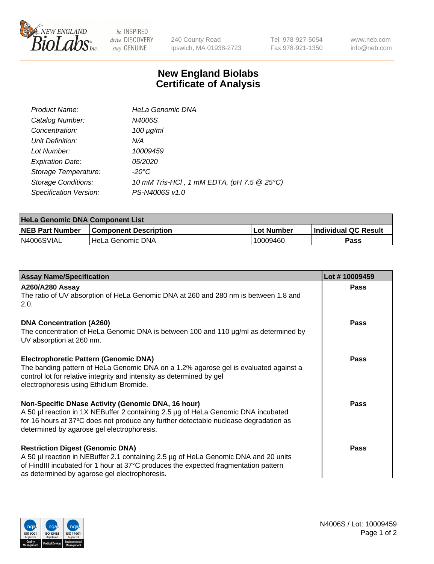

 $be$  INSPIRED drive DISCOVERY stay GENUINE

240 County Road Ipswich, MA 01938-2723 Tel 978-927-5054 Fax 978-921-1350 www.neb.com info@neb.com

## **New England Biolabs Certificate of Analysis**

| Product Name:              | <b>HeLa Genomic DNA</b>                    |
|----------------------------|--------------------------------------------|
| Catalog Number:            | N4006S                                     |
| Concentration:             | $100 \mu g/ml$                             |
| Unit Definition:           | N/A                                        |
| Lot Number:                | 10009459                                   |
| <b>Expiration Date:</b>    | <i>05/2020</i>                             |
| Storage Temperature:       | -20°C                                      |
| <b>Storage Conditions:</b> | 10 mM Tris-HCl, 1 mM EDTA, (pH 7.5 @ 25°C) |
| Specification Version:     | PS-N4006S v1.0                             |

| <b>HeLa Genomic DNA Component List</b> |                              |            |                             |  |
|----------------------------------------|------------------------------|------------|-----------------------------|--|
| <b>NEB Part Number</b>                 | <b>Component Description</b> | Lot Number | <b>Individual QC Result</b> |  |
| N4006SVIAL                             | l HeLa Genomic DNA           | 10009460   | Pass                        |  |

| <b>Assay Name/Specification</b>                                                                                                                                                                                                                                               | Lot #10009459 |
|-------------------------------------------------------------------------------------------------------------------------------------------------------------------------------------------------------------------------------------------------------------------------------|---------------|
| <b>A260/A280 Assay</b><br>The ratio of UV absorption of HeLa Genomic DNA at 260 and 280 nm is between 1.8 and<br>2.0.                                                                                                                                                         | Pass          |
| <b>DNA Concentration (A260)</b><br>The concentration of HeLa Genomic DNA is between 100 and 110 µg/ml as determined by<br>UV absorption at 260 nm.                                                                                                                            | <b>Pass</b>   |
| <b>Electrophoretic Pattern (Genomic DNA)</b><br>The banding pattern of HeLa Genomic DNA on a 1.2% agarose gel is evaluated against a<br>control lot for relative integrity and intensity as determined by gel<br>electrophoresis using Ethidium Bromide.                      | Pass          |
| Non-Specific DNase Activity (Genomic DNA, 16 hour)<br>A 50 µl reaction in 1X NEBuffer 2 containing 2.5 µg of HeLa Genomic DNA incubated<br>for 16 hours at 37°C does not produce any further detectable nuclease degradation as<br>determined by agarose gel electrophoresis. | <b>Pass</b>   |
| <b>Restriction Digest (Genomic DNA)</b><br>A 50 µl reaction in NEBuffer 2.1 containing 2.5 µg of HeLa Genomic DNA and 20 units<br>of HindIII incubated for 1 hour at 37°C produces the expected fragmentation pattern<br>as determined by agarose gel electrophoresis.        | <b>Pass</b>   |